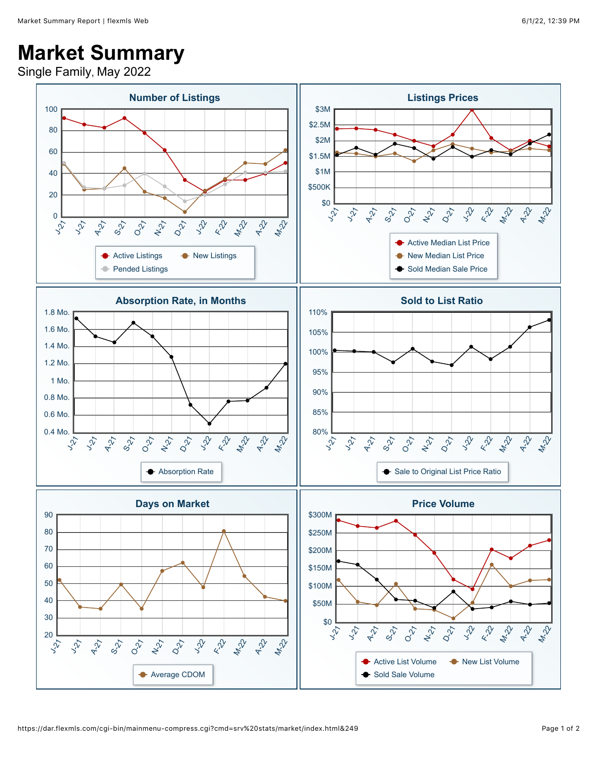## **Market Summary**

Single Family, May 2022